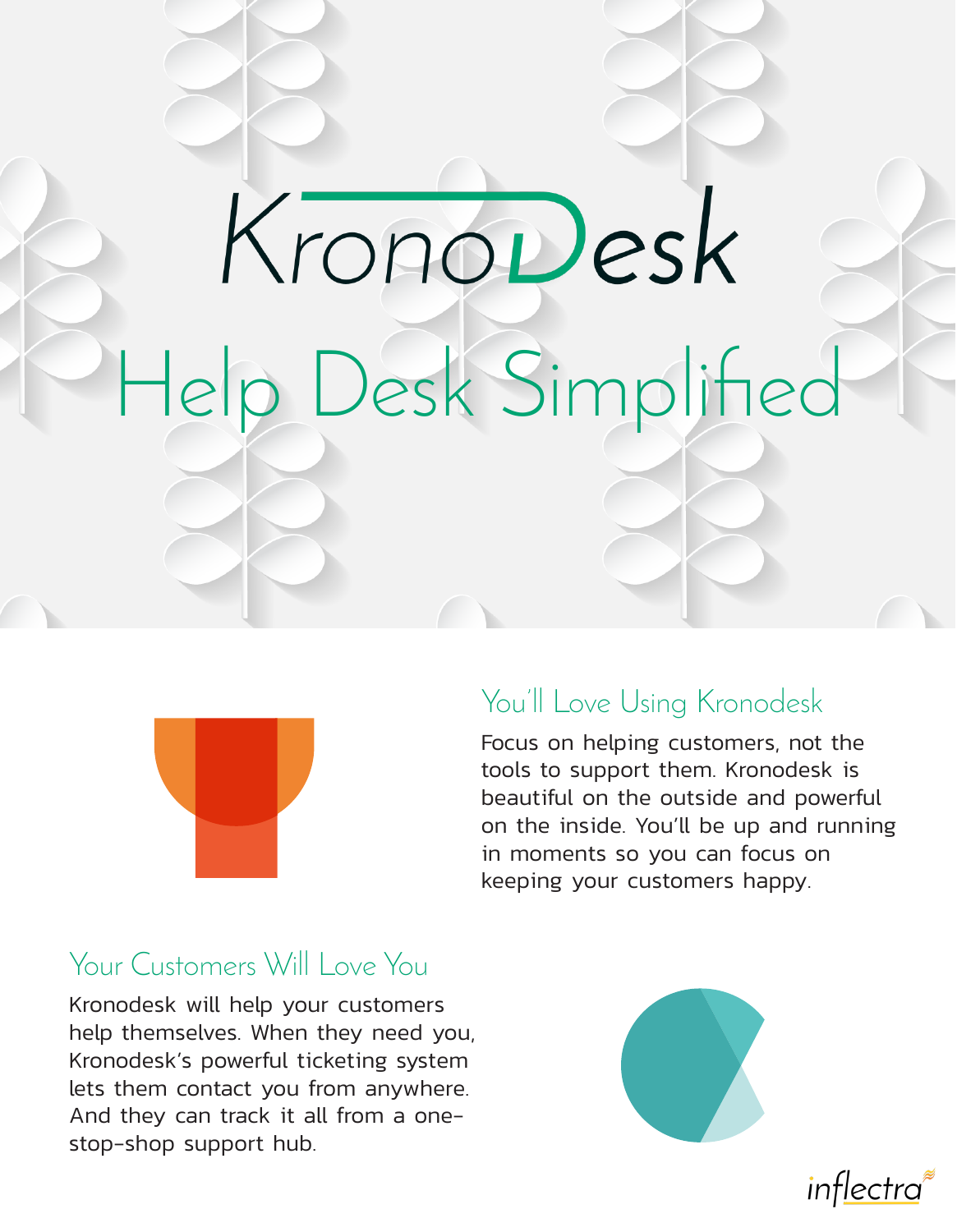# KronoDesk Help Desk Simplified



## You'll Love Using Kronodesk

Focus on helping customers, not the tools to support them. Kronodesk is beautiful on the outside and powerful on the inside. You'll be up and running in moments so you can focus on keeping your customers happy.

## Your Customers Will Love You

Kronodesk will help your customers help themselves. When they need you, Kronodesk's powerful ticketing system lets them contact you from anywhere. And they can track it all from a onestop-shop support hub.